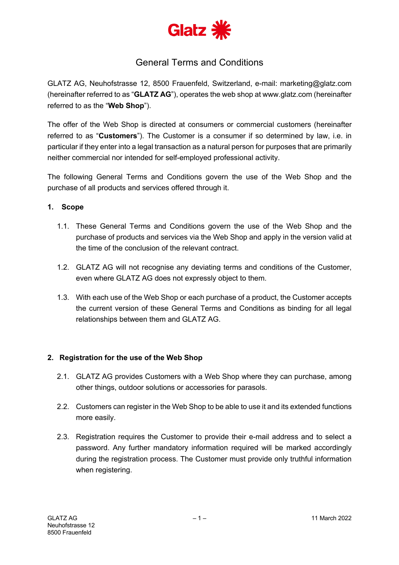

# General Terms and Conditions

GLATZ AG, Neuhofstrasse 12, 8500 Frauenfeld, Switzerland, e-mail: marketing@glatz.com (hereinafter referred to as "**GLATZ AG**"), operates the web shop at www.glatz.com (hereinafter referred to as the "**Web Shop**").

The offer of the Web Shop is directed at consumers or commercial customers (hereinafter referred to as "**Customers**"). The Customer is a consumer if so determined by law, i.e. in particular if they enter into a legal transaction as a natural person for purposes that are primarily neither commercial nor intended for self-employed professional activity.

The following General Terms and Conditions govern the use of the Web Shop and the purchase of all products and services offered through it.

# **1. Scope**

- 1.1. These General Terms and Conditions govern the use of the Web Shop and the purchase of products and services via the Web Shop and apply in the version valid at the time of the conclusion of the relevant contract.
- 1.2. GLATZ AG will not recognise any deviating terms and conditions of the Customer, even where GLATZ AG does not expressly object to them.
- 1.3. With each use of the Web Shop or each purchase of a product, the Customer accepts the current version of these General Terms and Conditions as binding for all legal relationships between them and GLATZ AG.

# **2. Registration for the use of the Web Shop**

- 2.1. GLATZ AG provides Customers with a Web Shop where they can purchase, among other things, outdoor solutions or accessories for parasols.
- 2.2. Customers can register in the Web Shop to be able to use it and its extended functions more easily.
- 2.3. Registration requires the Customer to provide their e-mail address and to select a password. Any further mandatory information required will be marked accordingly during the registration process. The Customer must provide only truthful information when registering.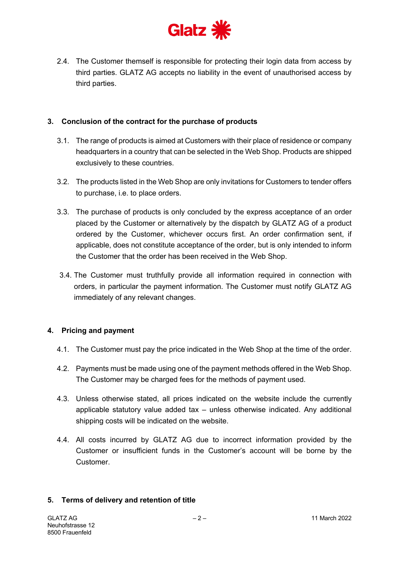

2.4. The Customer themself is responsible for protecting their login data from access by third parties. GLATZ AG accepts no liability in the event of unauthorised access by third parties.

## **3. Conclusion of the contract for the purchase of products**

- 3.1. The range of products is aimed at Customers with their place of residence or company headquarters in a country that can be selected in the Web Shop. Products are shipped exclusively to these countries.
- 3.2. The products listed in the Web Shop are only invitations for Customers to tender offers to purchase, i.e. to place orders.
- 3.3. The purchase of products is only concluded by the express acceptance of an order placed by the Customer or alternatively by the dispatch by GLATZ AG of a product ordered by the Customer, whichever occurs first. An order confirmation sent, if applicable, does not constitute acceptance of the order, but is only intended to inform the Customer that the order has been received in the Web Shop.
- 3.4. The Customer must truthfully provide all information required in connection with orders, in particular the payment information. The Customer must notify GLATZ AG immediately of any relevant changes.

# **4. Pricing and payment**

- 4.1. The Customer must pay the price indicated in the Web Shop at the time of the order.
- 4.2. Payments must be made using one of the payment methods offered in the Web Shop. The Customer may be charged fees for the methods of payment used.
- 4.3. Unless otherwise stated, all prices indicated on the website include the currently applicable statutory value added tax – unless otherwise indicated. Any additional shipping costs will be indicated on the website.
- 4.4. All costs incurred by GLATZ AG due to incorrect information provided by the Customer or insufficient funds in the Customer's account will be borne by the Customer.

#### **5. Terms of delivery and retention of title**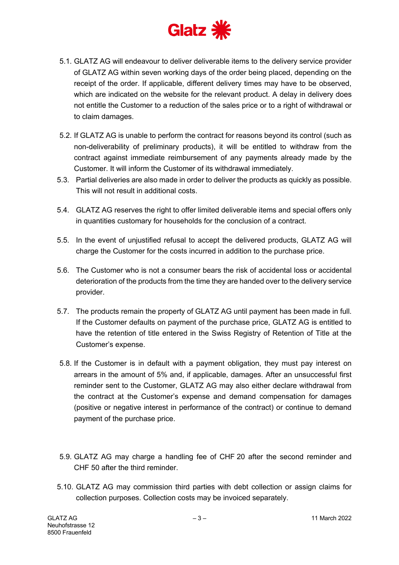

- 5.1. GLATZ AG will endeavour to deliver deliverable items to the delivery service provider of GLATZ AG within seven working days of the order being placed, depending on the receipt of the order. If applicable, different delivery times may have to be observed, which are indicated on the website for the relevant product. A delay in delivery does not entitle the Customer to a reduction of the sales price or to a right of withdrawal or to claim damages.
- 5.2. If GLATZ AG is unable to perform the contract for reasons beyond its control (such as non-deliverability of preliminary products), it will be entitled to withdraw from the contract against immediate reimbursement of any payments already made by the Customer. It will inform the Customer of its withdrawal immediately.
- 5.3. Partial deliveries are also made in order to deliver the products as quickly as possible. This will not result in additional costs.
- 5.4. GLATZ AG reserves the right to offer limited deliverable items and special offers only in quantities customary for households for the conclusion of a contract.
- 5.5. In the event of unjustified refusal to accept the delivered products, GLATZ AG will charge the Customer for the costs incurred in addition to the purchase price.
- 5.6. The Customer who is not a consumer bears the risk of accidental loss or accidental deterioration of the products from the time they are handed over to the delivery service provider.
- 5.7. The products remain the property of GLATZ AG until payment has been made in full. If the Customer defaults on payment of the purchase price, GLATZ AG is entitled to have the retention of title entered in the Swiss Registry of Retention of Title at the Customer's expense.
- 5.8. If the Customer is in default with a payment obligation, they must pay interest on arrears in the amount of 5% and, if applicable, damages. After an unsuccessful first reminder sent to the Customer, GLATZ AG may also either declare withdrawal from the contract at the Customer's expense and demand compensation for damages (positive or negative interest in performance of the contract) or continue to demand payment of the purchase price.
- 5.9. GLATZ AG may charge a handling fee of CHF 20 after the second reminder and CHF 50 after the third reminder.
- 5.10. GLATZ AG may commission third parties with debt collection or assign claims for collection purposes. Collection costs may be invoiced separately.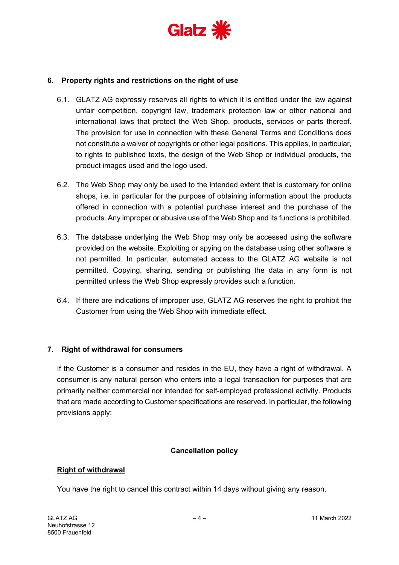

## **6. Property rights and restrictions on the right of use**

- 6.1. GLATZ AG expressly reserves all rights to which it is entitled under the law against unfair competition, copyright law, trademark protection law or other national and international laws that protect the Web Shop, products, services or parts thereof. The provision for use in connection with these General Terms and Conditions does not constitute a waiver of copyrights or other legal positions. This applies, in particular, to rights to published texts, the design of the Web Shop or individual products, the product images used and the logo used.
- 6.2. The Web Shop may only be used to the intended extent that is customary for online shops, i.e. in particular for the purpose of obtaining information about the products offered in connection with a potential purchase interest and the purchase of the products. Any improper or abusive use of the Web Shop and its functions is prohibited.
- 6.3. The database underlying the Web Shop may only be accessed using the software provided on the website. Exploiting or spying on the database using other software is not permitted. In particular, automated access to the GLATZ AG website is not permitted. Copying, sharing, sending or publishing the data in any form is not permitted unless the Web Shop expressly provides such a function.
- 6.4. If there are indications of improper use, GLATZ AG reserves the right to prohibit the Customer from using the Web Shop with immediate effect.

#### **7. Right of withdrawal for consumers**

If the Customer is a consumer and resides in the EU, they have a right of withdrawal. A consumer is any natural person who enters into a legal transaction for purposes that are primarily neither commercial nor intended for self-employed professional activity. Products that are made according to Customer specifications are reserved. In particular, the following provisions apply:

#### **Cancellation policy**

#### **Right of withdrawal**

You have the right to cancel this contract within 14 days without giving any reason.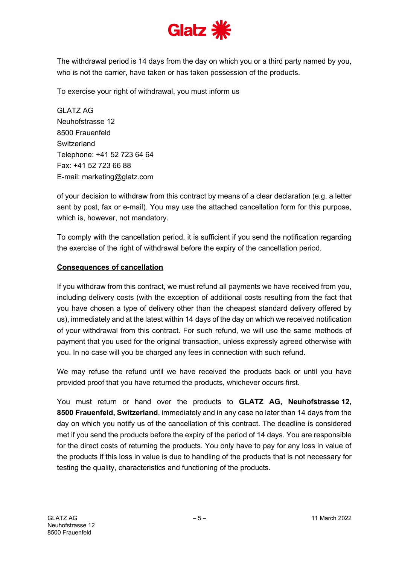

The withdrawal period is 14 days from the day on which you or a third party named by you, who is not the carrier, have taken or has taken possession of the products.

To exercise your right of withdrawal, you must inform us

GLATZ AG Neuhofstrasse 12 8500 Frauenfeld **Switzerland** Telephone: +41 52 723 64 64 Fax: +41 52 723 66 88 E-mail: marketing@glatz.com

of your decision to withdraw from this contract by means of a clear declaration (e.g. a letter sent by post, fax or e-mail). You may use the attached cancellation form for this purpose, which is, however, not mandatory.

To comply with the cancellation period, it is sufficient if you send the notification regarding the exercise of the right of withdrawal before the expiry of the cancellation period.

# **Consequences of cancellation**

If you withdraw from this contract, we must refund all payments we have received from you, including delivery costs (with the exception of additional costs resulting from the fact that you have chosen a type of delivery other than the cheapest standard delivery offered by us), immediately and at the latest within 14 days of the day on which we received notification of your withdrawal from this contract. For such refund, we will use the same methods of payment that you used for the original transaction, unless expressly agreed otherwise with you. In no case will you be charged any fees in connection with such refund.

We may refuse the refund until we have received the products back or until you have provided proof that you have returned the products, whichever occurs first.

You must return or hand over the products to **GLATZ AG, Neuhofstrasse 12, 8500 Frauenfeld, Switzerland**, immediately and in any case no later than 14 days from the day on which you notify us of the cancellation of this contract. The deadline is considered met if you send the products before the expiry of the period of 14 days. You are responsible for the direct costs of returning the products. You only have to pay for any loss in value of the products if this loss in value is due to handling of the products that is not necessary for testing the quality, characteristics and functioning of the products.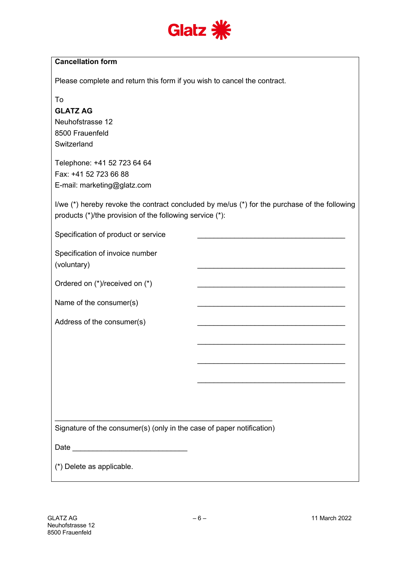

Please complete and return this form if you wish to cancel the contract.

To

## **GLATZ AG**

Neuhofstrasse 12 8500 Frauenfeld **Switzerland** 

Telephone: +41 52 723 64 64 Fax: +41 52 723 66 88 E-mail: marketing@glatz.com

I/we (\*) hereby revoke the contract concluded by me/us (\*) for the purchase of the following products (\*)/the provision of the following service (\*):

\_\_\_\_\_\_\_\_\_\_\_\_\_\_\_\_\_\_\_\_\_\_\_\_\_\_\_\_\_\_\_\_\_\_\_\_

\_\_\_\_\_\_\_\_\_\_\_\_\_\_\_\_\_\_\_\_\_\_\_\_\_\_\_\_\_\_\_\_\_\_\_\_

\_\_\_\_\_\_\_\_\_\_\_\_\_\_\_\_\_\_\_\_\_\_\_\_\_\_\_\_\_\_\_\_\_\_\_\_

\_\_\_\_\_\_\_\_\_\_\_\_\_\_\_\_\_\_\_\_\_\_\_\_\_\_\_\_\_\_\_\_\_\_\_\_

\_\_\_\_\_\_\_\_\_\_\_\_\_\_\_\_\_\_\_\_\_\_\_\_\_\_\_\_\_\_\_\_\_\_\_\_

Specification of product or service

Specification of invoice number (voluntary)

Ordered on (\*)/received on (\*)

Name of the consumer(s)

Address of the consumer(s)

 $\mathcal{L}_\text{max} = \mathcal{L}_\text{max} = \mathcal{L}_\text{max} = \mathcal{L}_\text{max} = \mathcal{L}_\text{max} = \mathcal{L}_\text{max} = \mathcal{L}_\text{max} = \mathcal{L}_\text{max} = \mathcal{L}_\text{max} = \mathcal{L}_\text{max} = \mathcal{L}_\text{max} = \mathcal{L}_\text{max} = \mathcal{L}_\text{max} = \mathcal{L}_\text{max} = \mathcal{L}_\text{max} = \mathcal{L}_\text{max} = \mathcal{L}_\text{max} = \mathcal{L}_\text{max} = \mathcal{$ Signature of the consumer(s) (only in the case of paper notification)

Date \_\_\_\_\_\_\_\_\_\_\_\_\_\_\_\_\_\_\_\_\_\_\_\_\_\_\_\_

(\*) Delete as applicable.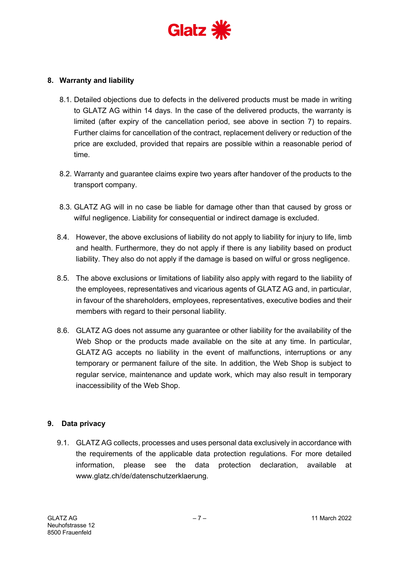

## **8. Warranty and liability**

- 8.1. Detailed objections due to defects in the delivered products must be made in writing to GLATZ AG within 14 days. In the case of the delivered products, the warranty is limited (after expiry of the cancellation period, see above in section 7) to repairs. Further claims for cancellation of the contract, replacement delivery or reduction of the price are excluded, provided that repairs are possible within a reasonable period of time.
- 8.2. Warranty and guarantee claims expire two years after handover of the products to the transport company.
- 8.3. GLATZ AG will in no case be liable for damage other than that caused by gross or wilful negligence. Liability for consequential or indirect damage is excluded.
- 8.4. However, the above exclusions of liability do not apply to liability for injury to life, limb and health. Furthermore, they do not apply if there is any liability based on product liability. They also do not apply if the damage is based on wilful or gross negligence.
- 8.5. The above exclusions or limitations of liability also apply with regard to the liability of the employees, representatives and vicarious agents of GLATZ AG and, in particular, in favour of the shareholders, employees, representatives, executive bodies and their members with regard to their personal liability.
- 8.6. GLATZ AG does not assume any guarantee or other liability for the availability of the Web Shop or the products made available on the site at any time. In particular, GLATZ AG accepts no liability in the event of malfunctions, interruptions or any temporary or permanent failure of the site. In addition, the Web Shop is subject to regular service, maintenance and update work, which may also result in temporary inaccessibility of the Web Shop.

#### **9. Data privacy**

9.1. GLATZ AG collects, processes and uses personal data exclusively in accordance with the requirements of the applicable data protection regulations. For more detailed information, please see the data protection declaration, available at www.glatz.ch/de/datenschutzerklaerung.